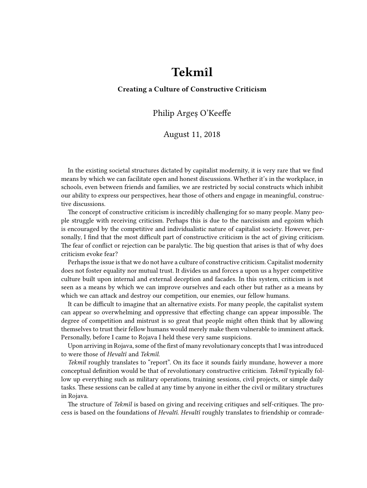## **Tekmîl**

## **Creating a Culture of Constructive Criticism**

## Philip Argeș O'Keeffe

## August 11, 2018

In the existing societal structures dictated by capitalist modernity, it is very rare that we find means by which we can facilitate open and honest discussions. Whether it's in the workplace, in schools, even between friends and families, we are restricted by social constructs which inhibit our ability to express our perspectives, hear those of others and engage in meaningful, constructive discussions.

The concept of constructive criticism is incredibly challenging for so many people. Many people struggle with receiving criticism. Perhaps this is due to the narcissism and egoism which is encouraged by the competitive and individualistic nature of capitalist society. However, personally, I find that the most difficult part of constructive criticism is the act of giving criticism. The fear of conflict or rejection can be paralytic. The big question that arises is that of why does criticism evoke fear?

Perhaps the issue is that we do not have a culture of constructive criticism. Capitalist modernity does not foster equality nor mutual trust. It divides us and forces a upon us a hyper competitive culture built upon internal and external deception and facades. In this system, criticism is not seen as a means by which we can improve ourselves and each other but rather as a means by which we can attack and destroy our competition, our enemies, our fellow humans.

It can be difficult to imagine that an alternative exists. For many people, the capitalist system can appear so overwhelming and oppressive that effecting change can appear impossible. The degree of competition and mistrust is so great that people might often think that by allowing themselves to trust their fellow humans would merely make them vulnerable to imminent attack. Personally, before I came to Rojava I held these very same suspicions.

Upon arriving in Rojava, some of the first of many revolutionary concepts that I was introduced to were those of *Hevaltî* and *Tekmîl.*

*Tekmîl* roughly translates to "report". On its face it sounds fairly mundane, however a more conceptual definition would be that of revolutionary constructive criticism. *Tekmîl* typically follow up everything such as military operations, training sessions, civil projects, or simple daily tasks. These sessions can be called at any time by anyone in either the civil or military structures in Rojava.

The structure of *Tekmîl* is based on giving and receiving critiques and self-critiques. The process is based on the foundations of *Hevaltî. Hevaltî* roughly translates to friendship or comrade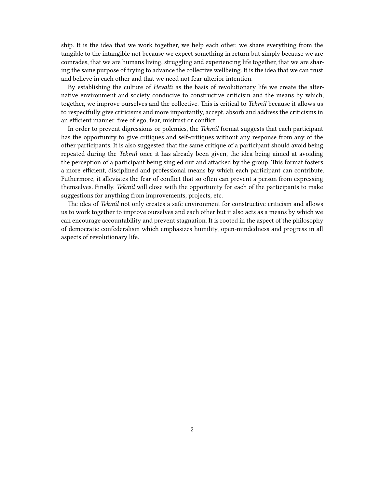ship. It is the idea that we work together, we help each other, we share everything from the tangible to the intangible not because we expect something in return but simply because we are comrades, that we are humans living, struggling and experiencing life together, that we are sharing the same purpose of trying to advance the collective wellbeing. It is the idea that we can trust and believe in each other and that we need not fear ulterior intention.

By establishing the culture of *Hevaltî* as the basis of revolutionary life we create the alternative environment and society conducive to constructive criticism and the means by which, together, we improve ourselves and the collective. This is critical to *Tekmîl* because it allows us to respectfully give criticisms and more importantly, accept, absorb and address the criticisms in an efficient manner, free of ego, fear, mistrust or conflict.

In order to prevent digressions or polemics, the *Tekmîl* format suggests that each participant has the opportunity to give critiques and self-critiques without any response from any of the other participants. It is also suggested that the same critique of a participant should avoid being repeated during the *Tekmîl* once it has already been given, the idea being aimed at avoiding the perception of a participant being singled out and attacked by the group. This format fosters a more efficient, disciplined and professional means by which each participant can contribute. Futhermore, it alleviates the fear of conflict that so often can prevent a person from expressing themselves. Finally, *Tekmîl* will close with the opportunity for each of the participants to make suggestions for anything from improvements, projects, etc.

The idea of *Tekmîl* not only creates a safe environment for constructive criticism and allows us to work together to improve ourselves and each other but it also acts as a means by which we can encourage accountability and prevent stagnation. It is rooted in the aspect of the philosophy of democratic confederalism which emphasizes humility, open-mindedness and progress in all aspects of revolutionary life.